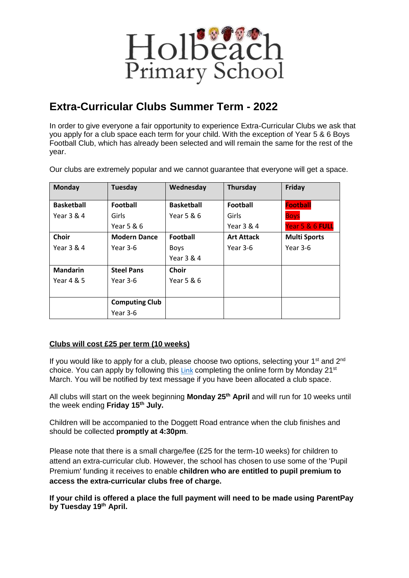

## **Extra-Curricular Clubs Summer Term - 2022**

In order to give everyone a fair opportunity to experience Extra-Curricular Clubs we ask that you apply for a club space each term for your child. With the exception of Year 5 & 6 Boys Football Club, which has already been selected and will remain the same for the rest of the year.

Our clubs are extremely popular and we cannot guarantee that everyone will get a space.

| <b>Monday</b>     | <b>Tuesday</b>        | Wednesday         | Thursday          | Friday              |
|-------------------|-----------------------|-------------------|-------------------|---------------------|
| <b>Basketball</b> | Football              | <b>Basketball</b> | <b>Football</b>   | <b>Football</b>     |
| Year 3 & 4        | Girls                 | Year 5 & 6        | Girls             | <b>Boys</b>         |
|                   | Year 5 & 6            |                   | Year 3 & 4        | Year 5 & 6 FULL     |
| <b>Choir</b>      | <b>Modern Dance</b>   | <b>Football</b>   | <b>Art Attack</b> | <b>Multi Sports</b> |
| Year 3 & 4        | Year 3-6              | <b>Boys</b>       | Year 3-6          | Year 3-6            |
|                   |                       | Year 3 & 4        |                   |                     |
| <b>Mandarin</b>   | <b>Steel Pans</b>     | <b>Choir</b>      |                   |                     |
| Year 4 & 5        | Year 3-6              | Year 5 & 6        |                   |                     |
|                   |                       |                   |                   |                     |
|                   | <b>Computing Club</b> |                   |                   |                     |
|                   | Year 3-6              |                   |                   |                     |

## **Clubs will cost £25 per term (10 weeks)**

If you would like to apply for a club, please choose two options, selecting your  $1<sup>st</sup>$  and  $2<sup>nd</sup>$ choice. You can apply by following this [Link](https://www.cognitoforms.com/HolbeachPrimarySchool/HolbeachExtraCurricularClubsSummer2022) completing the online form by Monday 21<sup>st</sup> March. You will be notified by text message if you have been allocated a club space.

All clubs will start on the week beginning **Monday 25th April** and will run for 10 weeks until the week ending **Friday 15th July.** 

Children will be accompanied to the Doggett Road entrance when the club finishes and should be collected **promptly at 4:30pm**.

Please note that there is a small charge/fee (£25 for the term-10 weeks) for children to attend an extra-curricular club. However, the school has chosen to use some of the 'Pupil Premium' funding it receives to enable **children who are entitled to pupil premium to access the extra-curricular clubs free of charge.** 

**If your child is offered a place the full payment will need to be made using ParentPay by Tuesday 19th April.**